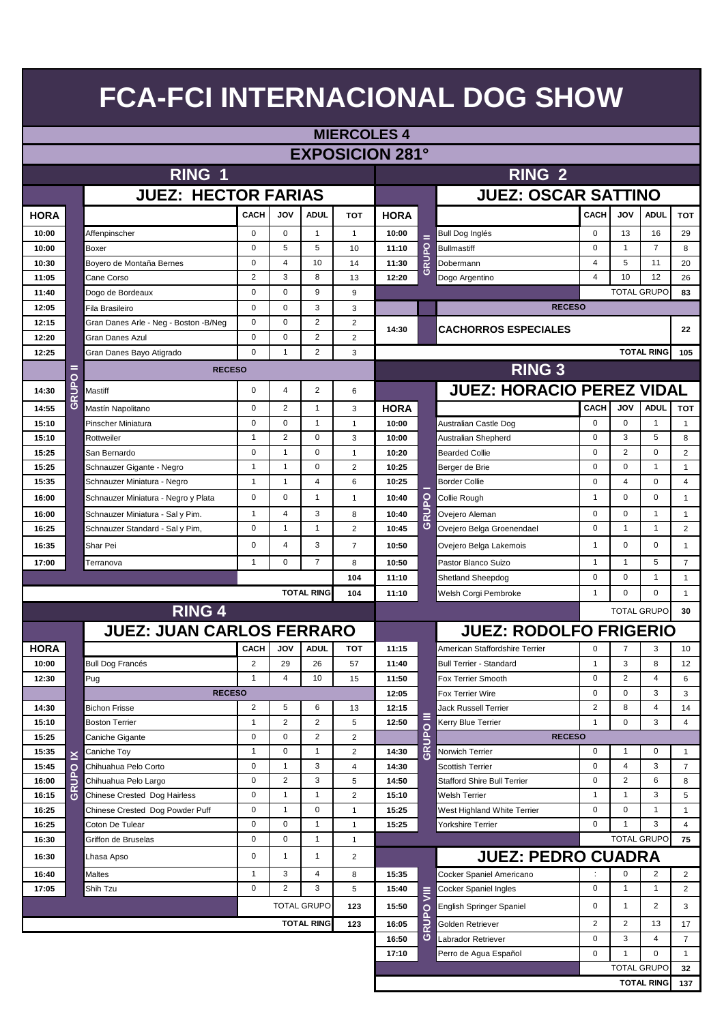|                          | <b>MIERCOLES 4</b>      |                                        |                |              |                    |                |                        |       |                                    |                |                |                    |                |
|--------------------------|-------------------------|----------------------------------------|----------------|--------------|--------------------|----------------|------------------------|-------|------------------------------------|----------------|----------------|--------------------|----------------|
|                          |                         |                                        |                |              |                    |                | <b>EXPOSICION 281°</b> |       |                                    |                |                |                    |                |
|                          |                         | RING 1                                 |                |              |                    |                |                        |       | RING <sub>2</sub>                  |                |                |                    |                |
|                          |                         |                                        |                |              |                    |                |                        |       |                                    |                |                |                    |                |
|                          |                         | <b>JUEZ: HECTOR FARIAS</b>             |                |              |                    |                |                        |       | <b>JUEZ: OSCAR SATTINO</b>         |                |                |                    |                |
| <b>HORA</b>              |                         |                                        | <b>CACH</b>    | <b>JOV</b>   | <b>ADUL</b>        | <b>TOT</b>     | <b>HORA</b>            |       |                                    | CACH           | <b>JOV</b>     | <b>ADUL</b>        | <b>TOT</b>     |
| 10:00                    |                         | Affenpinscher                          | 0              | 0            | $\mathbf{1}$       | $\mathbf{1}$   | 10:00                  | =     | <b>Bull Dog Inglés</b>             | $\mathbf 0$    | 13             | 16                 | 29             |
| 10:00                    |                         | Boxer                                  | $\mathbf 0$    | 5            | 5                  | 10             | 11:10                  |       | <b>Bullmastiff</b>                 | $\mathbf 0$    | $\mathbf{1}$   | $\overline{7}$     | 8              |
| 10:30                    |                         | Boyero de Montaña Bernes               | 0              | 4            | 10                 | 14             | 11:30                  | GRUPO | Dobermann                          | 4              | 5              | 11                 | 20             |
| 11:05                    |                         | Cane Corso                             | $\overline{2}$ | 3            | 8                  | 13             | 12:20                  |       | Dogo Argentino                     | 4              | 10             | 12                 | 26             |
| 11:40                    |                         | Dogo de Bordeaux                       | 0              | 0            | 9                  | 9              |                        |       |                                    |                |                | <b>TOTAL GRUPO</b> | 83             |
| 12:05                    |                         | Fila Brasileiro                        | $\mathbf 0$    | 0            | 3                  | 3              |                        |       | <b>RECESO</b>                      |                |                |                    |                |
| 12:15                    |                         | Gran Danes Arle - Neg - Boston - B/Neg | 0              | 0            | 2                  | 2              |                        |       |                                    |                |                |                    |                |
| 12:20                    |                         | Gran Danes Azul                        | 0              | 0            | 2                  | $\overline{2}$ | 14:30                  |       | <b>CACHORROS ESPECIALES</b>        |                |                |                    | 22             |
| 12:25                    |                         | Gran Danes Bayo Atigrado               | $\Omega$       | $\mathbf{1}$ | 2                  | 3              |                        |       |                                    |                |                | <b>TOTAL RING</b>  | 105            |
|                          | =                       | <b>RECESO</b>                          |                |              |                    |                |                        |       | <b>RING 3</b>                      |                |                |                    |                |
|                          | $\circ$                 |                                        |                |              |                    |                |                        |       |                                    |                |                |                    |                |
| 14:30                    | <b>RUP</b>              | Mastiff                                | 0              | 4            | 2                  | 6              |                        |       | <b>JUEZ: HORACIO PEREZ VIDAL</b>   |                |                |                    |                |
| 14:55                    | ပ                       | Mastín Napolitano                      | 0              | 2            | $\mathbf{1}$       | 3              | <b>HORA</b>            |       |                                    | <b>CACH</b>    | <b>JOV</b>     | <b>ADUL</b>        | TOT            |
| 15:10                    |                         | Pinscher Miniatura                     | 0              | 0            | $\mathbf{1}$       | $\mathbf{1}$   | 10:00                  |       | Australian Castle Dog              | $\mathbf 0$    | $\mathbf 0$    | $\mathbf{1}$       | $\mathbf{1}$   |
| 15:10                    |                         | Rottweiler                             | $\mathbf{1}$   | 2            | $\mathbf 0$        | 3              | 10:00                  |       | Australian Shepherd                | $\mathbf 0$    | 3              | 5                  | 8              |
| 15:25                    |                         | San Bernardo                           | 0              | $\mathbf{1}$ | $\mathbf 0$        | $\mathbf{1}$   | 10:20                  |       | <b>Bearded Collie</b>              | $\mathbf 0$    | $\overline{2}$ | $\mathbf 0$        | $\overline{2}$ |
| 15:25                    |                         | Schnauzer Gigante - Negro              | $\mathbf{1}$   | $\mathbf{1}$ | $\mathbf 0$        | $\overline{2}$ | 10:25                  |       | Berger de Brie                     | $\mathbf 0$    | $\mathbf 0$    | $\mathbf{1}$       | $\mathbf{1}$   |
| 15:35                    |                         | Schnauzer Miniatura - Negro            | $\mathbf{1}$   | $\mathbf{1}$ | 4                  | 6              | 10:25                  |       | <b>Border Collie</b>               | $\mathbf 0$    | $\overline{4}$ | 0                  | $\overline{4}$ |
| 16:00                    |                         | Schnauzer Miniatura - Negro y Plata    | 0              | 0            | $\mathbf{1}$       | $\mathbf{1}$   | 10:40                  |       | Collie Rough                       | $\mathbf{1}$   | $\mathbf 0$    | 0                  | $\mathbf{1}$   |
| 16:00                    |                         | Schnauzer Miniatura - Sal y Pim.       | $\mathbf{1}$   | 4            | 3                  | 8              | 10:40                  | GRUPO | Ovejero Aleman                     | $\mathbf 0$    | $\mathbf 0$    | $\mathbf{1}$       | $\mathbf{1}$   |
| 16:25                    |                         | Schnauzer Standard - Sal y Pim,        | 0              | $\mathbf{1}$ | $\mathbf{1}$       | $\overline{2}$ | 10:45                  |       | Ovejero Belga Groenendael          | 0              | $\mathbf{1}$   | $\mathbf{1}$       | $\overline{2}$ |
| 16:35                    |                         | Shar Pei                               | $\mathbf 0$    | 4            | 3                  | $\overline{7}$ | 10:50                  |       | Ovejero Belga Lakemois             | $\mathbf{1}$   | $\mathbf 0$    | $\mathbf 0$        | $\mathbf{1}$   |
| 17:00                    |                         | Terranova                              | $\mathbf{1}$   | 0            | $\overline{7}$     | 8              | 10:50                  |       | Pastor Blanco Suizo                | $\mathbf{1}$   | $\mathbf{1}$   | 5                  | $\overline{7}$ |
|                          |                         |                                        |                |              |                    | 104            | 11:10                  |       | <b>Shetland Sheepdog</b>           | $\mathbf 0$    | $\mathbf 0$    | $\mathbf{1}$       | $\mathbf{1}$   |
| <b>TOTAL RING</b><br>104 |                         |                                        |                |              |                    |                |                        |       | Welsh Corgi Pembroke               | $\mathbf{1}$   | $\mathbf 0$    | $\mathbf 0$        | $\mathbf{1}$   |
|                          |                         |                                        |                |              |                    |                | 11:10                  |       |                                    |                |                | <b>TOTAL GRUPO</b> | 30             |
|                          |                         | <b>RING 4</b>                          |                |              |                    |                |                        |       |                                    |                |                |                    |                |
|                          |                         | <b>JUEZ: JUAN CARLOS FERRARO</b>       |                |              |                    |                |                        |       | <b>JUEZ: RODOLFO FRIGERIO</b>      |                |                |                    |                |
| <b>HORA</b>              |                         |                                        | <b>CACH</b>    | <b>JOV</b>   | <b>ADUL</b>        | тот            | 11:15                  |       | American Staffordshire Terrier     | 0              | 7              | 3                  | 10             |
| 10:00                    |                         | <b>Bull Dog Francés</b>                | $\overline{2}$ | 29           | 26                 | 57             | 11:40                  |       | <b>Bull Terrier - Standard</b>     | 1              | 3              | 8                  | 12             |
| 12:30                    |                         | Pug                                    | 1              | 4            | 10                 | 15             | 11:50                  |       | Fox Terrier Smooth                 | 0              | $\overline{2}$ | 4                  | 6              |
|                          |                         | <b>RECESO</b>                          |                |              |                    |                | 12:05                  |       | Fox Terrier Wire                   | $\mathbf 0$    | $\mathbf 0$    | 3                  | 3              |
| 14:30                    |                         | <b>Bichon Frisse</b>                   | $\overline{2}$ | 5            | 6                  | 13             | 12:15                  | ≣     | <b>Jack Russell Terrier</b>        | $\overline{2}$ | 8              | 4                  | 14             |
| 15:10                    |                         | <b>Boston Terrier</b>                  | $\mathbf{1}$   | 2            | 2                  | 5              | 12:50                  |       | Kerry Blue Terrier                 | $\mathbf{1}$   | $\mathbf 0$    | 3                  | 4              |
| 15:25                    |                         | Caniche Gigante                        | 0              | 0            | $\overline{2}$     | $\overline{2}$ |                        | GRUPO | <b>RECESO</b>                      |                |                |                    |                |
| 15:35                    | ×                       | Caniche Toy                            | $\mathbf{1}$   | 0            | $\mathbf{1}$       | $\overline{2}$ | 14:30                  |       | Norwich Terrier                    | $\mathbf 0$    | $\mathbf{1}$   | 0                  | $\mathbf{1}$   |
| 15:45                    | $\circ$                 | Chihuahua Pelo Corto                   | 0              | $\mathbf{1}$ | 3                  | 4              | 14:30                  |       | <b>Scottish Terrier</b>            | $\mathbf 0$    | $\overline{4}$ | 3                  | $\overline{7}$ |
| 16:00                    | RUP                     | Chihuahua Pelo Largo                   | 0              | 2            | 3                  | 5              | 14:50                  |       | <b>Stafford Shire Bull Terrier</b> | $\mathbf 0$    | $\overline{2}$ | 6                  | 8              |
| 16:15                    | $\overline{\mathbf{c}}$ | <b>Chinese Crested Dog Hairless</b>    | 0              | $\mathbf{1}$ | 1                  | $\overline{2}$ | 15:10                  |       | <b>Welsh Terrier</b>               | $\mathbf{1}$   | $\mathbf{1}$   | 3                  | 5              |
| 16:25                    |                         | Chinese Crested Dog Powder Puff        | 0              | $\mathbf{1}$ | $\mathbf 0$        | $\mathbf{1}$   | 15:25                  |       | West Highland White Terrier        | $\mathbf 0$    | $\mathbf 0$    | $\mathbf{1}$       | $\mathbf{1}$   |
| 16:25                    |                         | Coton De Tulear                        | 0              | 0            | $\mathbf{1}$       | $\mathbf{1}$   | 15:25                  |       | <b>Yorkshire Terrier</b>           | $\mathbf 0$    | $\mathbf{1}$   | 3                  | 4              |
| 16:30                    |                         | Griffon de Bruselas                    | 0              | 0            | 1                  | $\mathbf{1}$   |                        |       |                                    |                |                | <b>TOTAL GRUPO</b> | 75             |
| 16:30                    |                         | Lhasa Apso                             | 0              | $\mathbf{1}$ | 1                  | 2              |                        |       | <b>JUEZ: PEDRO CUADRA</b>          |                |                |                    |                |
| 16:40                    |                         | Maltes                                 | $\mathbf{1}$   | 3            | 4                  | 8              | 15:35                  |       | Cocker Spaniel Americano           |                | 0              | 2                  | $\overline{2}$ |
| 17:05                    |                         | Shih Tzu                               | $\mathbf 0$    | 2            | 3                  | 5              | 15:40                  | ⋚     | Cocker Spaniel Ingles              | $\mathbf 0$    | $\mathbf{1}$   | $\mathbf{1}$       | $\overline{2}$ |
|                          |                         |                                        |                |              | <b>TOTAL GRUPO</b> | 123            | 15:50                  |       | <b>English Springer Spaniel</b>    | 0              | $\mathbf{1}$   | 2                  | 3              |
|                          |                         |                                        |                |              | <b>TOTAL RING</b>  | 123            | 16:05                  | RUPO  | Golden Retriever                   | 2              | 2              | 13                 | 17             |
|                          |                         |                                        |                |              |                    |                | 16:50                  | ত     | Labrador Retriever                 | 0              | 3              | 4                  | $\overline{7}$ |
|                          |                         |                                        |                |              |                    |                | 17:10                  |       | Perro de Agua Español              | $\mathbf 0$    | $\mathbf{1}$   | 0                  | $\mathbf{1}$   |
|                          |                         |                                        |                |              |                    |                |                        |       |                                    |                |                | <b>TOTAL GRUPO</b> | 32             |
|                          |                         |                                        |                |              |                    |                |                        |       |                                    |                |                | <b>TOTAL RING</b>  | 137            |
|                          |                         |                                        |                |              |                    |                |                        |       |                                    |                |                |                    |                |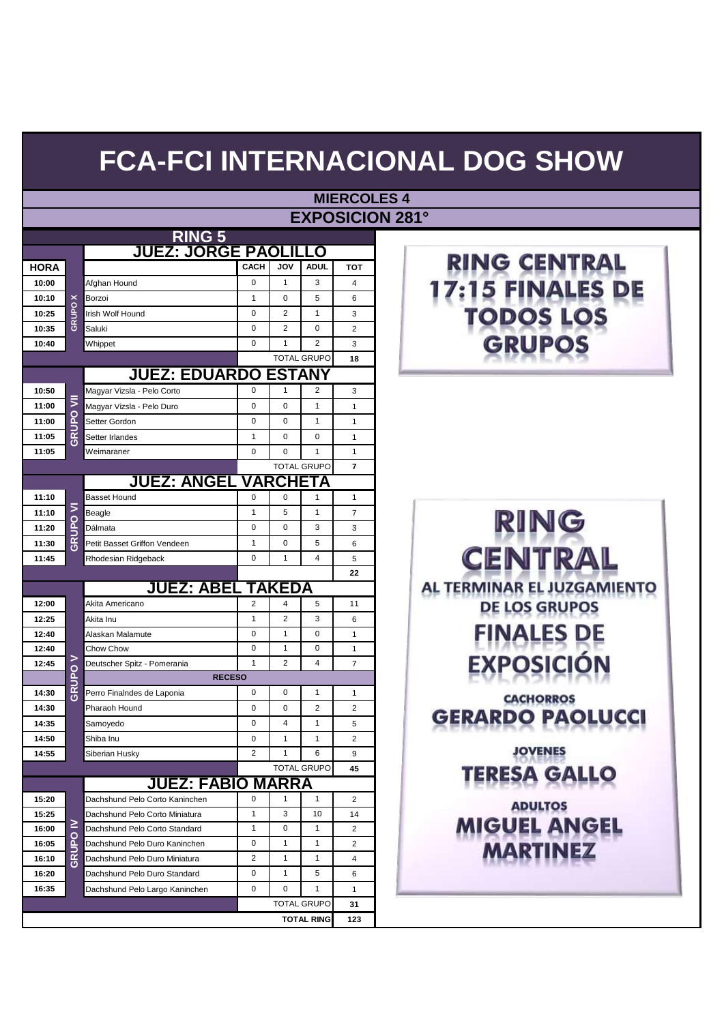|       |                 |                                              |                |                     |                    | <b>EXPOSICION 281°</b> |                     |
|-------|-----------------|----------------------------------------------|----------------|---------------------|--------------------|------------------------|---------------------|
|       |                 | RING 5                                       |                |                     |                    |                        |                     |
|       |                 | <b>JUEZ: JORGE PAOLILI</b>                   |                |                     | LO                 |                        |                     |
| HORA  |                 |                                              | <b>CACH</b>    | <b>JOV</b>          | <b>ADUL</b>        | <b>TOT</b>             | RING CEN            |
| 10:00 |                 | Afghan Hound                                 | $\mathbf 0$    | $\mathbf{1}$        | 3                  | 4                      |                     |
| 10:10 |                 | Borzoi                                       | $\mathbf{1}$   | $\mathbf 0$         | 5                  | 6                      |                     |
| 10:25 | GRUPO X         | Irish Wolf Hound                             | 0              | $\overline{2}$      | 1                  | 3                      |                     |
| 10:35 |                 | Saluki                                       | 0              | $\overline{2}$      | 0                  | $\overline{2}$         |                     |
| 10:40 |                 | Whippet                                      | 0              | $\mathbf{1}$        | 2                  | 3                      | PC                  |
|       |                 |                                              |                |                     | <b>TOTAL GRUPO</b> | 18                     |                     |
|       |                 | <b>JUEZ: EDUARDO</b>                         |                | <b>ESTANY</b>       |                    |                        |                     |
| 10:50 |                 | Magyar Vizsla - Pelo Corto                   | 0              | 1                   | 2                  | 3                      |                     |
| 11:00 | ₹               | Magyar Vizsla - Pelo Duro                    | 0              | $\mathbf 0$         | $\mathbf{1}$       | $\mathbf{1}$           |                     |
| 11:00 | GRUPO           | Setter Gordon                                | $\mathbf 0$    | $\mathbf 0$         | $\mathbf{1}$       | $\mathbf{1}$           |                     |
| 11:05 |                 | Setter Irlandes                              | $\mathbf{1}$   | $\mathbf 0$         | 0                  | $\mathbf{1}$           |                     |
| 11:05 |                 | Weimaraner                                   | 0              | $\mathbf 0$         | $\mathbf{1}$       | $\mathbf{1}$           |                     |
|       |                 |                                              |                |                     | <b>TOTAL GRUPO</b> | $\overline{7}$         |                     |
|       |                 | <u> JUEZ: ANGEL</u>                          |                | <b>VARCHETA</b>     |                    |                        |                     |
| 11:10 |                 | <b>Basset Hound</b>                          | 0              | $\mathbf 0$         | 1                  | 1                      |                     |
| 11:10 |                 | Beagle                                       | $\mathbf{1}$   | 5                   | 1                  | $\overline{7}$         | RING                |
| 11:20 | <b>GRUPO VI</b> | Dálmata                                      | $\mathbf 0$    | $\mathbf 0$         | 3                  | 3                      |                     |
| 11:30 |                 | Petit Basset Griffon Vendeen                 | $\mathbf{1}$   | $\mathbf 0$         | 5                  | 6                      |                     |
| 11:45 |                 | Rhodesian Ridgeback                          | $\mathbf 0$    | 1                   | 4                  | 5                      | <b>CENTR</b>        |
|       |                 |                                              |                |                     |                    | 22                     |                     |
|       |                 | <b>JUEZ: ABEI</b>                            |                | TAKEDA              |                    |                        | AL TERMINAR EL JU   |
| 12:00 |                 | Akita Americano                              | $\overline{2}$ | 4                   | 5                  | 11                     | <b>DE LOS GRU</b>   |
| 12:25 |                 | Akita Inu                                    | $\mathbf{1}$   | $\overline{2}$      | 3                  | 6                      |                     |
| 12:40 |                 | Alaskan Malamute                             | 0              | 1                   | 0                  | $\mathbf{1}$           | <b>FINALES</b>      |
| 12:40 | ⋗               | Chow Chow                                    | 0              | 1<br>$\overline{2}$ | 0                  | 1                      |                     |
| 12:45 |                 | Deutscher Spitz - Pomerania<br><b>RECESO</b> | 1              |                     | 4                  | 7                      | EXPOS               |
| 14:30 | GRUPO           | Perro Finalndes de Laponia                   | 0              | 0                   | 1                  | 1                      |                     |
| 14:30 |                 | Pharaoh Hound                                | 0              | $\mathbf 0$         | $\overline{2}$     | 2                      | <b>CACHORRO</b>     |
| 14:35 |                 | Samoyedo                                     | 0              | 4                   | 1                  | 5                      | <b>GERARDO PA</b>   |
| 14:50 |                 | Shiba Inu                                    | 0              | 1                   | 1                  | $\overline{2}$         |                     |
| 14:55 |                 | Siberian Husky                               | 2              | 1                   | 6                  | 9                      | <b>JOVENES</b>      |
|       |                 |                                              |                |                     | <b>TOTAL GRUPO</b> | 45                     |                     |
|       |                 | <b>JUEZ: FABIO MARRA</b>                     |                |                     |                    |                        | ERESA G/            |
| 15:20 |                 | Dachshund Pelo Corto Kaninchen               | 0              | 1                   | 1                  | 2                      |                     |
| 15:25 |                 | Dachshund Pelo Corto Miniatura               | $\mathbf{1}$   | 3                   | 10                 | 14                     |                     |
| 16:00 | ≧               | Dachshund Pelo Corto Standard                | 1              | 0                   | $\mathbf{1}$       | 2                      |                     |
| 16:05 | GRUPO           | Dachshund Pelo Duro Kaninchen                | 0              | 1                   | 1                  | 2                      | ADULTOS<br>MIGUEL A |
| 16:10 |                 | Dachshund Pelo Duro Miniatura                | 2              | 1                   | $\mathbf{1}$       | 4                      |                     |
| 16:20 |                 | Dachshund Pelo Duro Standard                 | 0              | 1                   | 5                  | 6                      |                     |
| 16:35 |                 | Dachshund Pelo Largo Kaninchen               | 0              | 0                   | 1                  | 1                      |                     |
|       |                 |                                              |                |                     | <b>TOTAL GRUPO</b> | 31                     |                     |
|       |                 |                                              |                |                     | <b>TOTAL RING</b>  | 123                    |                     |

#### **MIERCOLES 4 EXPOSITE**



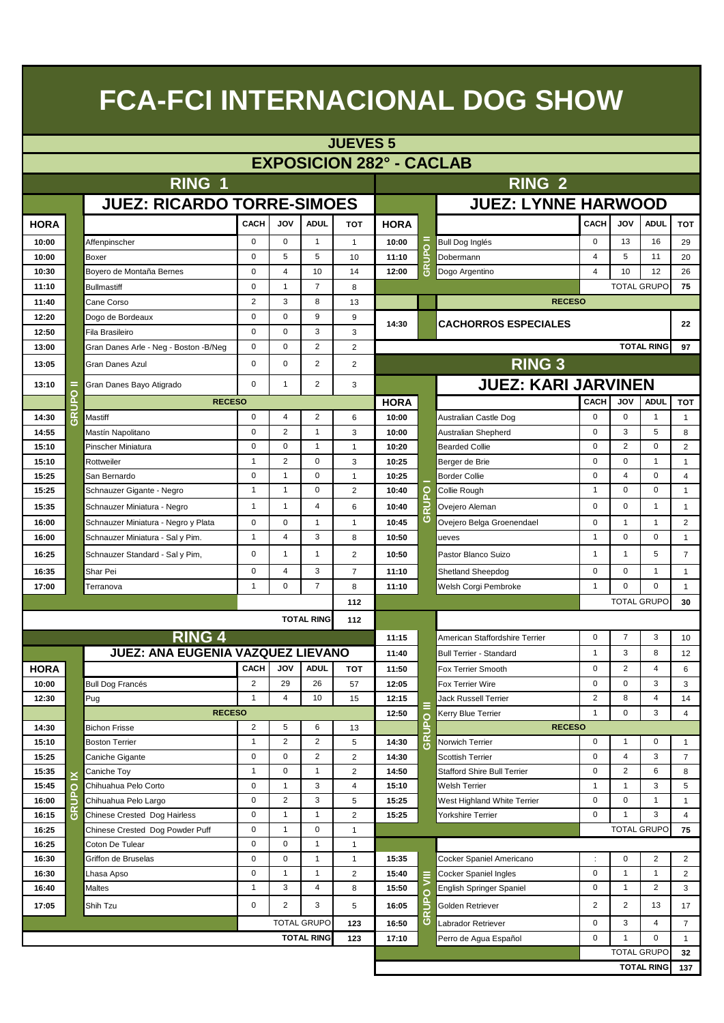|                | <b>JUEVES 5</b>                 |                                        |                  |                            |                              |                     |                |                   |                                                   |                  |                |                                         |                |  |
|----------------|---------------------------------|----------------------------------------|------------------|----------------------------|------------------------------|---------------------|----------------|-------------------|---------------------------------------------------|------------------|----------------|-----------------------------------------|----------------|--|
|                | <b>EXPOSICION 282° - CACLAB</b> |                                        |                  |                            |                              |                     |                |                   |                                                   |                  |                |                                         |                |  |
|                |                                 | RING 1                                 |                  |                            | <b>RING 2</b>                |                     |                |                   |                                                   |                  |                |                                         |                |  |
|                |                                 |                                        |                  |                            |                              |                     |                |                   |                                                   |                  |                |                                         |                |  |
|                |                                 | <b>JUEZ: RICARDO TORRE-SIMOES</b>      |                  |                            |                              |                     |                |                   | <b>JUEZ: LYNNE HARWOOD</b>                        |                  |                |                                         |                |  |
| <b>HORA</b>    |                                 |                                        | CACH             | VOL                        | <b>ADUL</b>                  | <b>TOT</b>          | <b>HORA</b>    |                   |                                                   | <b>CACH</b>      | <b>JOV</b>     | <b>ADUL</b>                             | тот            |  |
| 10:00          |                                 | Affenpinscher                          | $\mathbf 0$      | $\mathbf 0$                | $\mathbf{1}$                 | $\mathbf{1}$        | 10:00          |                   | Bull Dog Inglés                                   | $\mathbf 0$      | 13             | 16                                      | 29             |  |
| 10:00          |                                 | Boxer                                  | $\mathbf 0$      | 5                          | 5                            | 10                  | 11:10          | GRUPO             | Dobermann                                         | $\overline{4}$   | 5              | 11                                      | 20             |  |
| 10:30          |                                 | Boyero de Montaña Bernes               | $\mathbf 0$      | 4                          | 10                           | 14                  | 12:00          |                   | Dogo Argentino                                    | 4                | 10             | 12                                      | 26             |  |
| 11:10          |                                 | <b>Bullmastiff</b>                     | $\mathbf 0$      | $\mathbf{1}$               | $\overline{7}$               | 8                   |                |                   |                                                   |                  |                | <b>TOTAL GRUPO</b>                      | 75             |  |
| 11:40          |                                 | Cane Corso                             | 2                | 3                          | 8                            | 13                  |                |                   | <b>RECESO</b>                                     |                  |                |                                         |                |  |
| 12:20          |                                 | Dogo de Bordeaux                       | $\mathbf 0$      | 0                          | 9                            | 9                   | 14:30          |                   | <b>CACHORROS ESPECIALES</b>                       |                  |                |                                         | 22             |  |
| 12:50          |                                 | Fila Brasileiro                        | $\mathbf 0$      | $\mathbf 0$                | 3                            | 3                   |                |                   |                                                   |                  |                |                                         |                |  |
| 13:00          |                                 | Gran Danes Arle - Neg - Boston - B/Neg | $\mathbf 0$      | $\Omega$                   | 2                            | 2                   |                |                   |                                                   |                  |                | <b>TOTAL RING</b>                       | 97             |  |
| 13:05          |                                 | Gran Danes Azul                        | $\mathbf 0$      | $\mathbf 0$                | 2                            | 2                   |                |                   | <b>RING 3</b>                                     |                  |                |                                         |                |  |
| 13:10          | =                               | Gran Danes Bayo Atigrado               | $\mathbf 0$      | $\mathbf{1}$               | 2                            | 3                   |                |                   | <b>JUEZ: KARI JARVINEN</b>                        |                  |                |                                         |                |  |
|                | <b>P</b>                        | <b>RECESO</b>                          |                  |                            |                              |                     | <b>HORA</b>    |                   |                                                   | CACH             | JOV            | <b>ADUL</b>                             | <b>TOT</b>     |  |
| 14:30          | GRUI                            | Mastiff                                | $\mathbf 0$      | 4                          | 2                            | 6                   | 10:00          |                   | Australian Castle Dog                             | $\mathbf 0$      | $\mathbf 0$    | $\mathbf{1}$                            | $\mathbf{1}$   |  |
| 14:55          |                                 | Mastín Napolitano                      | $\mathbf 0$      | $\overline{2}$             | $\mathbf{1}$                 | 3                   | 10:00          |                   | Australian Shepherd                               | $\mathbf 0$      | 3              | 5                                       | 8              |  |
| 15:10          |                                 | Pinscher Miniatura                     | $\mathbf 0$      | $\mathbf 0$                | $\mathbf{1}$                 | $\mathbf{1}$        | 10:20          |                   | <b>Bearded Collie</b>                             | $\mathbf 0$      | $\overline{2}$ | $\mathbf 0$                             | 2              |  |
| 15:10          |                                 | Rottweiler                             | $\mathbf{1}$     | $\overline{2}$             | $\mathbf 0$                  | 3                   | 10:25          |                   | Berger de Brie                                    | $\mathbf 0$      | $\mathbf 0$    | $\mathbf{1}$                            | $\mathbf{1}$   |  |
| 15:25          |                                 | San Bernardo                           | $\mathbf 0$      | $\mathbf{1}$               | $\mathbf 0$                  | $\mathbf{1}$        | 10:25          |                   | <b>Border Collie</b>                              | $\mathbf 0$      | $\overline{4}$ | $\mathbf 0$                             | $\overline{4}$ |  |
| 15:25          |                                 | Schnauzer Gigante - Negro              | $\mathbf{1}$     | $\mathbf{1}$               | $\mathbf 0$                  | $\overline{2}$      | 10:40          | ō                 | Collie Rough                                      | $\mathbf{1}$     | 0              | 0                                       | $\mathbf{1}$   |  |
| 15:35          |                                 | Schnauzer Miniatura - Negro            | $\mathbf{1}$     | $\mathbf{1}$               | 4                            | 6                   | 10:40          | 문                 | Ovejero Aleman                                    | 0                | 0              | $\mathbf{1}$                            | $\mathbf{1}$   |  |
| 16:00          |                                 | Schnauzer Miniatura - Negro y Plata    | $\mathbf 0$      | $\mathbf 0$                | $\mathbf{1}$                 | $\mathbf{1}$        | 10:45          | O                 | Ovejero Belga Groenendael                         | $\mathbf 0$      | $\mathbf{1}$   | $\mathbf{1}$                            | 2              |  |
| 16:00          |                                 | Schnauzer Miniatura - Sal y Pim.       | $\mathbf{1}$     | 4                          | 3                            | 8                   | 10:50          |                   | ueves                                             | $\mathbf{1}$     | $\mathbf 0$    | $\mathbf 0$                             | $\mathbf{1}$   |  |
| 16:25          |                                 | Schnauzer Standard - Sal y Pim,        | $\mathbf 0$      | $\mathbf{1}$               | $\mathbf{1}$                 | $\overline{2}$      | 10:50          |                   | Pastor Blanco Suizo                               | $\mathbf{1}$     | $\mathbf{1}$   | 5                                       | $\overline{7}$ |  |
| 16:35          |                                 | Shar Pei                               | $\mathbf 0$      | 4                          | 3                            | $\overline{7}$      | 11:10          |                   | Shetland Sheepdog                                 | $\mathbf 0$      | $\mathbf 0$    | $\mathbf{1}$                            | $\mathbf{1}$   |  |
| 17:00          |                                 | Terranova                              | $\mathbf{1}$     | $\mathbf 0$                | $\overline{7}$               | 8                   | 11:10          |                   | Welsh Corgi Pembroke                              | $\mathbf{1}$     | $\Omega$       | $\mathbf 0$                             | $\mathbf{1}$   |  |
|                |                                 |                                        |                  |                            |                              | 112                 |                |                   |                                                   |                  |                | <b>TOTAL GRUPO</b>                      | 30             |  |
|                |                                 |                                        |                  |                            | <b>TOTAL RING</b>            | 112                 |                |                   |                                                   |                  |                |                                         |                |  |
|                |                                 | <b>RING 4</b>                          |                  |                            |                              |                     | 11:15          |                   | American Staffordshire Terrier                    | 0                | $\overline{7}$ | 3                                       | 10             |  |
|                |                                 | JUEZ: ANA EUGENIA VAZQUEZ LIEVANO      |                  |                            |                              |                     | 11:40          |                   | <b>Bull Terrier - Standard</b>                    | $\mathbf{1}$     | 3              | 8                                       | 12             |  |
| <b>HORA</b>    |                                 |                                        | CACH             | VOL                        | <b>ADUL</b>                  | <b>TOT</b>          | 11:50          |                   | <b>Fox Terrier Smooth</b>                         | 0                | $\overline{2}$ | 4                                       | 6              |  |
| 10:00          |                                 | <b>Bull Dog Francés</b>                | 2                | 29                         | 26                           | 57                  | 12:05          |                   | Fox Terrier Wire                                  | 0                | 0              | 3                                       | 3              |  |
| 12:30          |                                 | Pug                                    | $\mathbf{1}$     | $\overline{4}$             | 10                           | 15                  | 12:15          |                   | <b>Jack Russell Terrier</b>                       | $\overline{2}$   | 8              | $\overline{4}$                          | 14             |  |
|                |                                 | <b>RECESO</b>                          |                  |                            |                              |                     | 12:50          | $\circ$           | Kerry Blue Terrier                                | $\mathbf{1}$     | 0              | 3                                       | $\overline{4}$ |  |
| 14:30          |                                 | <b>Bichon Frisse</b>                   | 2                | 5                          | 6                            | 13                  |                | <b>AURS</b>       | <b>RECESO</b>                                     |                  |                |                                         |                |  |
| 15:10          |                                 | <b>Boston Terrier</b>                  | 1                | 2                          | 2                            | 5                   | 14:30          |                   | Norwich Terrier                                   | $\mathbf 0$      | $\mathbf{1}$   | 0                                       | $\mathbf{1}$   |  |
| 15:25          |                                 | Caniche Gigante                        | $\mathbf 0$      | $\mathbf 0$                | 2                            | 2                   | 14:30          |                   | <b>Scottish Terrier</b>                           | $\mathbf 0$      | $\overline{4}$ | 3                                       | $\overline{7}$ |  |
| 15:35          | ≚                               | Caniche Toy                            | $\mathbf{1}$     | $\mathbf 0$                | $\mathbf{1}$                 | 2                   | 14:50          |                   | <b>Stafford Shire Bull Terrier</b>                | $\mathbf 0$      | $\overline{2}$ | 6                                       | 8              |  |
| 15:45          | $\circ$                         | Chihuahua Pelo Corto                   | 0                | $\mathbf{1}$               | 3                            | 4                   | 15:10          |                   | Welsh Terrier                                     | $\mathbf{1}$     | $\mathbf{1}$   | 3                                       | 5              |  |
| 16:00          | GRUP                            | Chihuahua Pelo Largo                   | 0                | 2                          | 3                            | 5                   | 15:25          |                   | West Highland White Terrier                       | $\mathbf 0$      | 0              | $\mathbf{1}$                            | $\mathbf{1}$   |  |
| 16:15          |                                 | Chinese Crested Dog Hairless           | 0                | $\mathbf{1}$               | $\mathbf{1}$                 | 2                   | 15:25          |                   | Yorkshire Terrier                                 | $\mathbf 0$      | $\mathbf{1}$   | 3                                       | 4              |  |
| 16:25          |                                 | Chinese Crested Dog Powder Puff        | 0                | $\mathbf{1}$               | 0                            | $\mathbf{1}$        |                |                   |                                                   |                  |                | <b>TOTAL GRUPO</b>                      | 75             |  |
| 16:25          |                                 | Coton De Tulear                        | 0<br>$\mathbf 0$ | $\mathbf 0$<br>$\mathbf 0$ | $\mathbf{1}$<br>$\mathbf{1}$ | $\mathbf{1}$        |                |                   |                                                   |                  | $\mathbf 0$    | $\overline{2}$                          |                |  |
| 16:30          |                                 | Griffon de Bruselas                    | 0                | $\mathbf{1}$               | $\mathbf{1}$                 | $\mathbf{1}$        | 15:35          |                   | Cocker Spaniel Americano                          | ÷<br>$\mathbf 0$ | $\mathbf{1}$   | $\mathbf{1}$                            | 2              |  |
| 16:30<br>16:40 |                                 | Lhasa Apso<br>Maltes                   | $\mathbf{1}$     | 3                          | 4                            | $\overline{c}$<br>8 | 15:40<br>15:50 |                   | Cocker Spaniel Ingles<br>English Springer Spaniel | $\mathbf 0$      | $\mathbf{1}$   | $\overline{2}$                          | 2<br>3         |  |
|                |                                 |                                        |                  |                            |                              |                     |                | C<br>$\mathbf{a}$ |                                                   |                  |                |                                         |                |  |
| 17:05          |                                 | Shih Tzu                               | 0                | 2                          | 3                            | 5                   | 16:05          |                   | Golden Retriever                                  | $\overline{2}$   | 2              | 13                                      | 17             |  |
|                |                                 |                                        |                  |                            | <b>TOTAL GRUPO</b>           | 123                 | 16:50          | ပ                 | Labrador Retriever                                | $\mathbf 0$      | 3              | 4                                       | $\overline{7}$ |  |
|                |                                 |                                        |                  |                            | <b>TOTAL RING</b>            | 123                 | 17:10          |                   | Perro de Agua Español                             | $\mathbf 0$      | 1              | 0                                       | $\mathbf{1}$   |  |
|                |                                 |                                        |                  |                            |                              |                     |                |                   |                                                   |                  |                | <b>TOTAL GRUPO</b><br><b>TOTAL RING</b> | 32<br>137      |  |
|                |                                 |                                        |                  |                            |                              |                     |                |                   |                                                   |                  |                |                                         |                |  |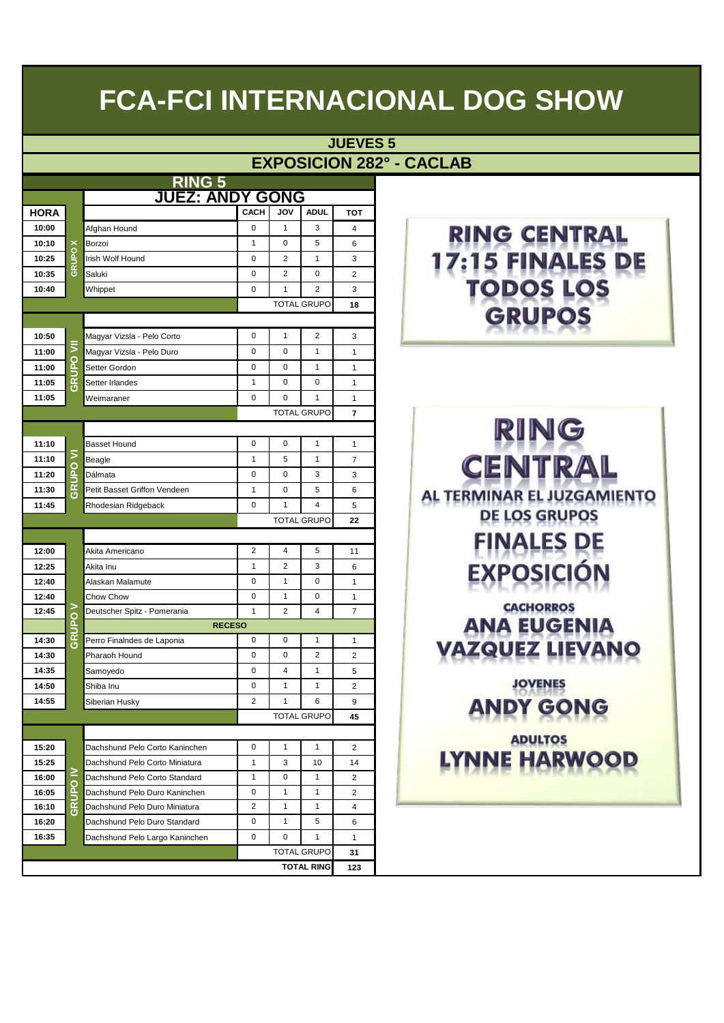**JUEVES 5**

#### **EXPOSICION 282° - CACLAB**

|             |                    | <u>RING 5</u>                  |                     |                              |                    |                    |                                         |
|-------------|--------------------|--------------------------------|---------------------|------------------------------|--------------------|--------------------|-----------------------------------------|
|             |                    |                                | <b>Z: ANDY GONG</b> |                              |                    |                    |                                         |
| <b>HORA</b> |                    |                                | <b>CACH</b>         | JOV                          | <b>ADUL</b>        | тот                |                                         |
| 10:00       |                    | Afghan Hound                   | $\mathbf 0$         | $\mathbf{1}$                 | 3                  | 4                  | RING CEN                                |
| 10:10       | ×                  | Borzoi                         | $\mathbf{1}$        | 0                            | 5                  | 6                  |                                         |
| 10:25       | GRUPO              | Irish Wolf Hound               | 0                   | 2                            | $\mathbf{1}$       | 3                  |                                         |
| 10:35       |                    | Saluki                         | 0                   | 2                            | 0                  | $\overline{c}$     |                                         |
| 10:40       |                    | Whippet                        | $\mathbf 0$         | $\mathbf{1}$                 | 2                  | 3                  |                                         |
|             |                    |                                |                     |                              | <b>TOTAL GRUPO</b> | 18                 |                                         |
| 10:50       |                    | Magyar Vizsla - Pelo Corto     | 0                   | $\mathbf{1}$                 | 2                  | 3                  |                                         |
| 11:00       | ₹                  | Magyar Vizsla - Pelo Duro      | $\mathbf 0$         | 0                            | 1                  | $\mathbf{1}$       |                                         |
| 11:00       | <b>PO</b>          | Setter Gordon                  | 0                   | 0                            | $\mathbf{1}$       | $\mathbf{1}$       |                                         |
| 11:05       | 己                  | Setter Irlandes                | 1                   | 0                            | 0                  | $\mathbf{1}$       |                                         |
| 11:05       |                    | Weimaraner                     | 0                   | 0                            | 1                  | $\mathbf{1}$       |                                         |
|             |                    |                                |                     |                              | <b>TOTAL GRUPO</b> | $\overline{7}$     |                                         |
|             |                    |                                |                     |                              |                    |                    |                                         |
| 11:10       |                    | <b>Basset Hound</b>            | 0                   | $\mathbf 0$                  | $\mathbf{1}$       | $\mathbf{1}$       | RING                                    |
| 11:10       | ⋝                  | Beagle                         | $\mathbf{1}$        | 5                            | 1                  | 7                  |                                         |
| 11:20       | O<br>ã.            | Dálmata                        | 0                   | 0                            | 3                  | 3                  | CEN                                     |
| 11:30       | <b>GRUI</b>        | Petit Basset Griffon Vendeen   | $\mathbf{1}$        | 0                            | 5                  | 6                  |                                         |
| 11:45       |                    | Rhodesian Ridgeback            | $\mathbf 0$         | $\mathbf{1}$                 | 4                  | 5                  | AL TERMINAR EL JU.                      |
|             |                    |                                |                     |                              | <b>TOTAL GRUPO</b> | 22                 | DE LOS GRU                              |
|             |                    |                                |                     |                              |                    |                    |                                         |
| 12:00       |                    | Akita Americano                | 2                   | 4                            | 5                  | 11                 | <b>FINALES</b>                          |
| 12:25       |                    | Akita Inu                      | $\mathbf{1}$        | $\overline{2}$               | 3                  | 6                  | <b>EXPOSIC</b>                          |
| 12:40       |                    | Alaskan Malamute               | 0                   | $\mathbf{1}$                 | 0                  | 1                  |                                         |
| 12:40       |                    | Chow Chow                      | 0                   | $\mathbf{1}$                 | 0                  | 1                  |                                         |
| 12:45       | ⋗                  | Deutscher Spitz - Pomerania    | $\mathbf{1}$        | 2                            | 4                  | 7                  | <b>CACHORRO</b>                         |
|             | <u>S</u><br>n<br>E |                                | <b>RECESO</b>       |                              |                    |                    | ANA EUGI                                |
| 14:30       | ග                  | Perro Finalndes de Laponia     | 0                   | 0                            | 1                  | 1                  |                                         |
| 14:30       |                    | Pharaoh Hound                  | 0                   | 0                            | 2                  | $\overline{2}$     |                                         |
| 14:35       |                    | Samoyedo                       | 0                   | 4                            | $\mathbf{1}$       | 5                  |                                         |
| 14:50       |                    | Shiba Inu                      | 0                   | $\mathbf{1}$                 | 1                  | $\overline{2}$     | <b>JOVENES</b>                          |
| 14:55       |                    | Siberian Husky                 | $\overline{c}$      | $\mathbf{1}$                 | 6                  | 9                  | ANDY GC                                 |
|             |                    |                                |                     |                              | <b>TOTAL GRUPO</b> | 45                 | $17.77$ $1.471$ $17.73$ $17.73$ $17.73$ |
|             |                    |                                |                     |                              |                    |                    | <b>ADULTOS</b>                          |
| 15:20       |                    | Dachshund Pelo Corto Kaninchen | 0                   | $\mathbf{1}$                 | $\mathbf{1}$       | 2                  | <b>YNNE HAR</b>                         |
| 15:25       | ≧                  | Dachshund Pelo Corto Miniatura | 1                   | 3                            | 10                 | 14                 |                                         |
| 16:00       | <u>S</u>           | Dachshund Pelo Corto Standard  | 1                   | 0                            | $\mathbf{1}$       | $\overline{c}$     |                                         |
| 16:05       | ⊇                  | Dachshund Pelo Duro Kaninchen  | 0                   | $\mathbf{1}$                 | $\mathbf{1}$       | $\overline{2}$     |                                         |
| 16:10       | ග                  | Dachshund Pelo Duro Miniatura  | 2                   | $\mathbf{1}$<br>$\mathbf{1}$ | $\mathbf{1}$<br>5  | 4                  |                                         |
| 16:20       |                    | Dachshund Pelo Duro Standard   | 0<br>0              | 0                            | 1                  | 6                  |                                         |
| 16:35       |                    | Dachshund Pelo Largo Kaninchen |                     |                              | <b>TOTAL GRUPO</b> | $\mathbf{1}$<br>31 |                                         |
|             |                    |                                |                     |                              | <b>TOTAL RING</b>  |                    |                                         |
|             |                    |                                |                     |                              |                    | 123                |                                         |

#### **RING CENTRAL** 17:15 FINALES DE **TODOS LOS GRUPOS**

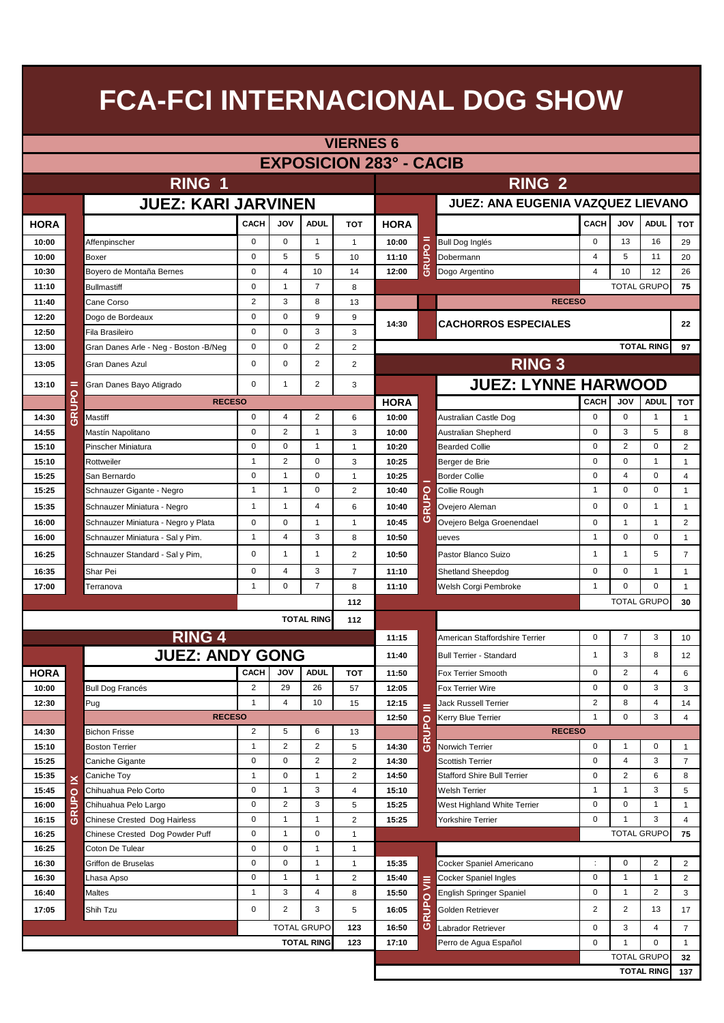|                         | <b>VIERNES 6</b> |                                        |                |                |                    |                |                                          |         |                                    |                |                |                         |                |  |
|-------------------------|------------------|----------------------------------------|----------------|----------------|--------------------|----------------|------------------------------------------|---------|------------------------------------|----------------|----------------|-------------------------|----------------|--|
|                         |                  |                                        |                |                |                    |                | <b>EXPOSICION 283° - CACIB</b>           |         |                                    |                |                |                         |                |  |
| RING 1<br><b>RING 2</b> |                  |                                        |                |                |                    |                |                                          |         |                                    |                |                |                         |                |  |
|                         |                  |                                        |                |                |                    |                | <b>JUEZ: ANA EUGENIA VAZQUEZ LIEVANO</b> |         |                                    |                |                |                         |                |  |
|                         |                  | <b>JUEZ: KARI JARVINEN</b>             |                |                |                    |                |                                          |         |                                    |                |                |                         |                |  |
| <b>HORA</b>             |                  |                                        | CACH           | <b>JOV</b>     | <b>ADUL</b>        | тот            | <b>HORA</b>                              |         |                                    | <b>CACH</b>    | <b>JOV</b>     | <b>ADUL</b>             | <b>TOT</b>     |  |
| 10:00                   |                  | Affenpinscher                          | $\mathbf 0$    | $\mathbf 0$    | $\mathbf{1}$       | $\mathbf{1}$   | 10:00                                    | =       | <b>Bull Dog Inglés</b>             | $\mathbf 0$    | 13             | 16                      | 29             |  |
| 10:00                   |                  | Boxer                                  | $\mathbf 0$    | 5              | 5                  | 10             | 11:10                                    | GRUPO   | Dobermann                          | $\overline{4}$ | 5              | 11                      | 20             |  |
| 10:30                   |                  | Boyero de Montaña Bernes               | $\mathbf 0$    | $\overline{4}$ | 10                 | 14             | 12:00                                    |         | Dogo Argentino                     | $\overline{4}$ | 10             | 12                      | 26             |  |
| 11:10                   |                  | <b>Bullmastiff</b>                     | $\mathbf 0$    | $\mathbf{1}$   | $\overline{7}$     | 8              |                                          |         |                                    |                |                | <b>TOTAL GRUPO</b>      | 75             |  |
| 11:40                   |                  | Cane Corso                             | 2              | 3              | 8                  | 13             |                                          |         | <b>RECESO</b>                      |                |                |                         |                |  |
| 12:20                   |                  | Dogo de Bordeaux                       | $\mathbf 0$    | $\mathbf 0$    | 9                  | 9              | 14:30                                    |         | <b>CACHORROS ESPECIALES</b>        |                |                |                         | 22             |  |
| 12:50                   |                  | Fila Brasileiro                        | $\mathbf 0$    | $\mathbf 0$    | 3                  | 3              |                                          |         |                                    |                |                |                         |                |  |
| 13:00                   |                  | Gran Danes Arle - Neg - Boston - B/Neg | $\mathbf 0$    | $\mathbf 0$    | $\overline{2}$     | $\overline{2}$ |                                          |         |                                    |                |                | <b>TOTAL RING</b>       | 97             |  |
| 13:05                   |                  | <b>Gran Danes Azul</b>                 | $\mathbf 0$    | $\mathbf 0$    | 2                  | $\overline{2}$ |                                          |         | <b>RING 3</b>                      |                |                |                         |                |  |
| 13:10                   | =                | Gran Danes Bayo Atigrado               | $\mathbf 0$    | 1              | 2                  | 3              |                                          |         | <b>JUEZ: LYNNE HARWOOD</b>         |                |                |                         |                |  |
|                         | <b>PO</b>        | <b>RECESO</b>                          |                |                |                    |                | <b>HORA</b>                              |         |                                    | <b>CACH</b>    | <b>JOV</b>     | <b>ADUL</b>             | тот            |  |
| 14:30                   | RUI<br>ග         | Mastiff                                | $\mathbf 0$    | $\overline{4}$ | 2                  | 6              | 10:00                                    |         | Australian Castle Dog              | $\mathbf 0$    | $\mathbf 0$    | $\mathbf{1}$            | $\mathbf{1}$   |  |
| 14:55                   |                  | Mastín Napolitano                      | $\mathbf 0$    | 2              | $\mathbf{1}$       | 3              | 10:00                                    |         | Australian Shepherd                | $\mathbf 0$    | 3              | 5                       | 8              |  |
| 15:10                   |                  | Pinscher Miniatura                     | $\mathbf 0$    | $\mathbf 0$    | $\mathbf{1}$       | $\mathbf{1}$   | 10:20                                    |         | <b>Bearded Collie</b>              | $\mathbf 0$    | 2              | $\mathbf 0$             | 2              |  |
| 15:10                   |                  | Rottweiler                             | $\mathbf{1}$   | 2              | $\mathbf{0}$       | 3              | 10:25                                    |         | Berger de Brie                     | $\mathbf 0$    | $\mathbf 0$    | $\mathbf{1}$            | $\mathbf{1}$   |  |
| 15:25                   |                  | San Bernardo                           | $\mathbf 0$    | $\mathbf{1}$   | $\mathbf{0}$       | $\mathbf{1}$   | 10:25                                    |         | <b>Border Collie</b>               | $\mathbf 0$    | $\overline{4}$ | $\mathbf 0$             | $\overline{4}$ |  |
| 15.25                   |                  | Schnauzer Gigante - Negro              | $\mathbf{1}$   | $\mathbf{1}$   | $\mathbf 0$        | $\overline{2}$ | 10:40                                    | $\circ$ | Collie Rough                       | $\mathbf{1}$   | $\mathbf 0$    | $\mathbf 0$             | $\mathbf{1}$   |  |
| 15:35                   |                  | Schnauzer Miniatura - Negro            | $\mathbf{1}$   | $\mathbf{1}$   | $\overline{4}$     | 6              | 10:40                                    | RUP     | Ovejero Aleman                     | $\mathbf 0$    | $\mathbf 0$    | $\mathbf{1}$            | $\mathbf{1}$   |  |
| 16:00                   |                  | Schnauzer Miniatura - Negro y Plata    | $\mathbf 0$    | 0              | $\mathbf{1}$       | 1              | 10:45                                    | ඏ       | Ovejero Belga Groenendael          | $\mathbf 0$    | $\mathbf{1}$   | $\mathbf{1}$            | 2              |  |
| 16:00                   |                  | Schnauzer Miniatura - Sal y Pim.       | $\mathbf{1}$   | 4              | 3                  | 8              | 10:50                                    |         | ueves                              | $\mathbf{1}$   | $\mathbf 0$    | $\mathbf 0$             | $\mathbf{1}$   |  |
| 16:25                   |                  | Schnauzer Standard - Sal y Pim,        | $\mathbf 0$    | $\mathbf{1}$   | 1                  | 2              | 10:50                                    |         | Pastor Blanco Suizo                | $\mathbf{1}$   | $\mathbf{1}$   | 5                       | $\overline{7}$ |  |
| 16:35                   |                  | Shar Pei                               | $\mathbf 0$    | 4              | 3                  | $\overline{7}$ | 11:10                                    |         | Shetland Sheepdog                  | $\mathbf 0$    | $\mathbf 0$    | $\mathbf{1}$            | $\mathbf{1}$   |  |
| 17:00                   |                  | Terranova                              | 1              | $\mathbf 0$    | $\overline{7}$     | 8              | 11:10                                    |         | Welsh Corgi Pembroke               | $\mathbf{1}$   | $\Omega$       | $\Omega$                | $\mathbf{1}$   |  |
|                         |                  |                                        |                |                |                    | 112            |                                          |         |                                    |                |                | <b>TOTAL GRUPO</b>      | 30             |  |
|                         |                  |                                        |                |                | <b>TOTAL RING</b>  | 112            |                                          |         |                                    |                |                |                         |                |  |
|                         |                  | <b>RING 4</b>                          |                |                |                    |                | 11:15                                    |         | American Staffordshire Terrier     | $\mathbf 0$    | $\overline{7}$ | 3                       | 10             |  |
|                         |                  | <b>JUEZ: ANDY GONG</b>                 |                |                |                    |                | 11:40                                    |         | <b>Bull Terrier - Standard</b>     | 1              | 3              | 8                       | 12             |  |
| <b>HORA</b>             |                  |                                        | CACH           | <b>JOV</b>     | <b>ADUL</b>        |                |                                          |         | Fox Terrier Smooth                 | 0              | 2              | 4                       |                |  |
| 10:00                   |                  |                                        | 2              | 29             | 26                 | <b>TOT</b>     | 11:50<br>12:05                           |         | Fox Terrier Wire                   | 0              | 0              | 3                       | 6<br>3         |  |
| 12:30                   |                  | <b>Bull Dog Francés</b><br>Pug         | $\mathbf{1}$   | 4              | 10                 | 57<br>15       | 12:15                                    |         | Jack Russell Terrier               | 2              | 8              | 4                       | 14             |  |
|                         |                  | <b>RECESO</b>                          |                |                |                    |                | 12:50                                    |         | Kerry Blue Terrier                 | $\mathbf{1}$   | $\mathbf 0$    | 3                       | $\overline{4}$ |  |
| 14:30                   |                  | <b>Bichon Frisse</b>                   | $\overline{2}$ | 5              | 6                  | 13             |                                          | GRUPO   | <b>RECESO</b>                      |                |                |                         |                |  |
| 15:10                   |                  | <b>Boston Terrier</b>                  | $\mathbf{1}$   | 2              | 2                  | 5              | 14:30                                    |         | Norwich Terrier                    | 0              | $\mathbf{1}$   | 0                       | $\mathbf{1}$   |  |
| 15:25                   |                  | Caniche Gigante                        | 0              | 0              | 2                  | $\overline{c}$ | 14:30                                    |         | <b>Scottish Terrier</b>            | 0              | 4              | 3                       | $\overline{7}$ |  |
| 15:35                   |                  | Caniche Toy                            | $\mathbf{1}$   | 0              | $\mathbf{1}$       | 2              | 14:50                                    |         | <b>Stafford Shire Bull Terrier</b> | 0              | $\overline{2}$ | 6                       | 8              |  |
| 15:45                   | ≚                | Chihuahua Pelo Corto                   | 0              | $\mathbf{1}$   | 3                  | 4              | 15:10                                    |         | <b>Welsh Terrier</b>               | $\mathbf{1}$   | $\mathbf{1}$   | 3                       | 5              |  |
| 16:00                   | <b>GRUPO</b>     | Chihuahua Pelo Largo                   | 0              | 2              | 3                  | 5              | 15:25                                    |         | West Highland White Terrier        | 0              | $\mathbf 0$    | $\mathbf{1}$            | $\mathbf{1}$   |  |
| 16:15                   |                  | Chinese Crested Dog Hairless           | 0              | $\mathbf{1}$   | $\mathbf{1}$       | $\overline{2}$ | 15:25                                    |         | Yorkshire Terrier                  | $\mathbf 0$    | $\mathbf{1}$   | 3                       | $\overline{4}$ |  |
| 16:25                   |                  | Chinese Crested Dog Powder Puff        | 0              | $\mathbf{1}$   | 0                  | $\mathbf{1}$   |                                          |         |                                    |                |                | <b>TOTAL GRUPO</b>      | 75             |  |
| 16:25                   |                  | Coton De Tulear                        | 0              | $\mathbf 0$    | $\mathbf{1}$       | $\mathbf{1}$   |                                          |         |                                    |                |                |                         |                |  |
| 16:30                   |                  | Griffon de Bruselas                    | 0              | 0              | $\mathbf{1}$       | $\mathbf{1}$   | 15:35                                    |         | Cocker Spaniel Americano           | ÷              | $\mathbf 0$    | $\overline{2}$          | $\overline{2}$ |  |
| 16:30                   |                  | Lhasa Apso                             | 0              | $\mathbf{1}$   | $\mathbf{1}$       | 2              | 15:40                                    | ⋚       | Cocker Spaniel Ingles              | $\mathbf 0$    | $\mathbf{1}$   | $\mathbf{1}$            | 2              |  |
| 16:40                   |                  | Maltes                                 | $\mathbf{1}$   | 3              | 4                  | 8              | 15:50                                    | $\circ$ | English Springer Spaniel           | 0              | $\mathbf{1}$   | 2                       | 3              |  |
| 17:05                   |                  | Shih Tzu                               | 0              | $\overline{2}$ | 3                  | 5              | 16:05                                    | RUP     | Golden Retriever                   | 2              | $\overline{c}$ | 13                      | 17             |  |
|                         |                  |                                        |                |                | <b>TOTAL GRUPO</b> | 123            | 16:50                                    | ပ       | Labrador Retriever                 | $\mathbf 0$    | 3              | 4                       | $\overline{7}$ |  |
|                         |                  |                                        |                |                | <b>TOTAL RING</b>  | 123            | 17:10                                    |         | Perro de Agua Español              | $\mathsf 0$    | $\mathbf{1}$   | $\mathsf{O}\phantom{0}$ | $\mathbf{1}$   |  |
|                         |                  |                                        |                |                |                    |                |                                          |         |                                    |                |                | <b>TOTAL GRUPO</b>      | 32             |  |
|                         |                  |                                        |                |                |                    |                |                                          |         |                                    |                |                | <b>TOTAL RING</b>       | 137            |  |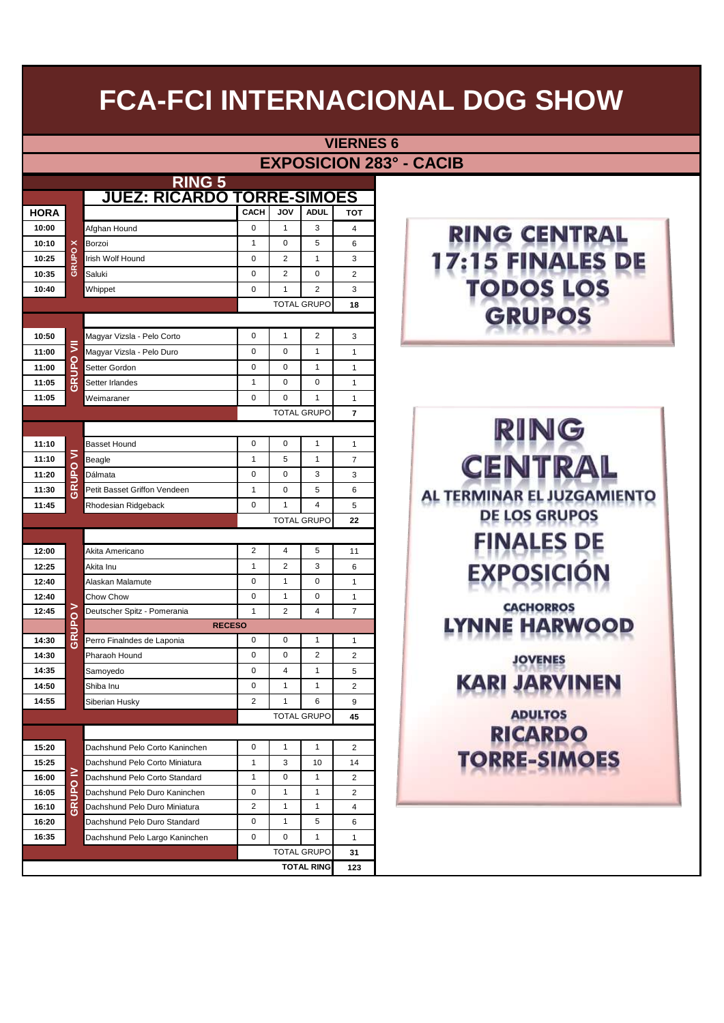$6<sup>h</sup>$ 

|                |       |                                   |                         |                |                              | <b>VIERNES 6</b>        |                                |
|----------------|-------|-----------------------------------|-------------------------|----------------|------------------------------|-------------------------|--------------------------------|
|                |       |                                   |                         |                |                              |                         | <b>EXPOSICION 283° - CACIB</b> |
|                |       | <u>RING 5</u>                     |                         |                |                              |                         |                                |
|                |       | <b>JUEZ: RICARDO TORRE-SIMOES</b> |                         |                |                              |                         |                                |
| <b>HORA</b>    |       |                                   | <b>CACH</b>             | <b>JOV</b>     | <b>ADUL</b>                  | <b>TOT</b>              |                                |
| 10:00          |       | Afghan Hound                      | 0                       | 1              | 3                            | 4                       | <b>RING CEN</b>                |
| 10:10          | ×     | Borzoi                            | 1                       | 0              | 5                            | 6                       |                                |
| 10:25          | GRUPO | Irish Wolf Hound                  | 0                       | 2              | 1                            | 3                       |                                |
| 10:35          |       | Saluki                            | 0                       | 2              | 0                            | $\overline{2}$          |                                |
| 10:40          |       | Whippet                           | 0                       | 1              | $\overline{2}$               | 3                       |                                |
|                |       |                                   |                         |                | <b>TOTAL GRUPO</b>           | 18                      | GRUPC                          |
|                |       |                                   |                         |                |                              |                         |                                |
| 10:50          | ₹     | Magyar Vizsla - Pelo Corto        | 0                       | 1              | $\overline{2}$               | 3                       |                                |
| 11:00          |       | Magyar Vizsla - Pelo Duro         | 0                       | 0              | 1                            | $\mathbf{1}$            |                                |
| 11:00          | GRUPO | Setter Gordon                     | 0                       | 0              | 1                            | 1                       |                                |
| 11:05          |       | Setter Irlandes                   | 1                       | 0              | 0                            | 1                       |                                |
| 11:05          |       | Weimaraner                        | 0                       | 0              | 1                            | $\mathbf{1}$            |                                |
|                |       |                                   |                         |                | <b>TOTAL GRUPO</b>           | $\overline{7}$          |                                |
|                |       |                                   |                         |                |                              |                         | $\mathbb{R}$ l                 |
| 11:10          | 5     | <b>Basset Hound</b>               | 0<br>1                  | 0<br>5         | $\mathbf{1}$<br>$\mathbf{1}$ | $\mathbf{1}$            |                                |
| 11:10<br>11:20 |       | Beagle<br>Dálmata                 | 0                       | 0              | 3                            | $\overline{7}$<br>3     | <b>CENTR</b>                   |
| 11:30          | GRUPO | Petit Basset Griffon Vendeen      | 1                       | 0              | 5                            | 6                       |                                |
| 11:45          |       | Rhodesian Ridgeback               | 0                       | 1              | $\overline{\mathbf{4}}$      | 5                       | AL TERMINAR EL JU.             |
|                |       |                                   |                         |                | <b>TOTAL GRUPO</b>           | 22                      | DE LOS GRU                     |
|                |       |                                   |                         |                |                              |                         |                                |
| 12:00          |       | Akita Americano                   | $\overline{2}$          | 4              | 5                            | 11                      | <b>FINALES</b>                 |
| 12:25          |       | Akita Inu                         | 1                       | 2              | 3                            | 6                       |                                |
| 12:40          |       | Alaskan Malamute                  | 0                       | 1              | 0                            | $\mathbf{1}$            |                                |
| 12:40          |       | Chow Chow                         | 0                       | 1              | $\pmb{0}$                    | $\mathbf{1}$            |                                |
| 12:45          | ⋗     | Deutscher Spitz - Pomerania       | $\mathbf{1}$            | $\overline{2}$ | 4                            | $\overline{7}$          | <b>CACHORRO</b>                |
|                | GRUPO | <b>RECESO</b>                     |                         |                |                              |                         | HAR                            |
| 14:30          |       | Perro Finalndes de Laponia        | 0                       | $\pmb{0}$      | $\mathbf{1}$                 | $\mathbf{1}$            |                                |
| 14:30          |       | Pharaoh Hound                     | 0                       | $\mathbf 0$    | $\overline{2}$               | $\overline{2}$          | <b>JOVENES</b>                 |
| 14:35          |       | Samoyedo                          | 0                       | 4              | $\mathbf{1}$                 | 5                       | KAR<br>PAV                     |
| 14:50          |       | Shiba Inu                         | 0                       | $\mathbf{1}$   | $\mathbf{1}$                 | 2                       | <u>2007</u>                    |
| 14:55          |       | Siberian Husky                    | 2                       | $\mathbf{1}$   | 6                            | 9                       |                                |
|                |       |                                   |                         |                | <b>TOTAL GRUPO</b>           | 45                      | <b>ADULTOS</b>                 |
|                |       | Dachshund Pelo Corto Kaninchen    | 0                       | 1              | $\mathbf{1}$                 | $\overline{2}$          | RICARD                         |
| 15:20<br>15:25 |       | Dachshund Pelo Corto Miniatura    | 1                       | 3              | 10                           | 14                      | <b>RRE-SIM</b>                 |
| 16:00          | ≧     | Dachshund Pelo Corto Standard     | 1                       | 0              | $\mathbf{1}$                 | 2                       |                                |
| 16:05          | GRUPO | Dachshund Pelo Duro Kaninchen     | 0                       | 1              | $\mathbf{1}$                 | $\overline{\mathbf{c}}$ |                                |
| 16:10          |       | Dachshund Pelo Duro Miniatura     | $\overline{\mathbf{c}}$ | 1              | $\mathbf{1}$                 | 4                       |                                |
| 16:20          |       | Dachshund Pelo Duro Standard      | 0                       | 1              | 5                            | 6                       |                                |
| 16:35          |       | Dachshund Pelo Largo Kaninchen    | 0                       | 0              | $\mathbf{1}$                 | $\mathbf{1}$            |                                |
|                |       |                                   |                         |                | <b>TOTAL GRUPO</b>           | 31                      |                                |
|                |       |                                   |                         |                | <b>TOTAL RING</b>            | 123                     |                                |

### **RING CENTRAL** 17:15 FINALES DE **TODOS LOS GRUPOS**

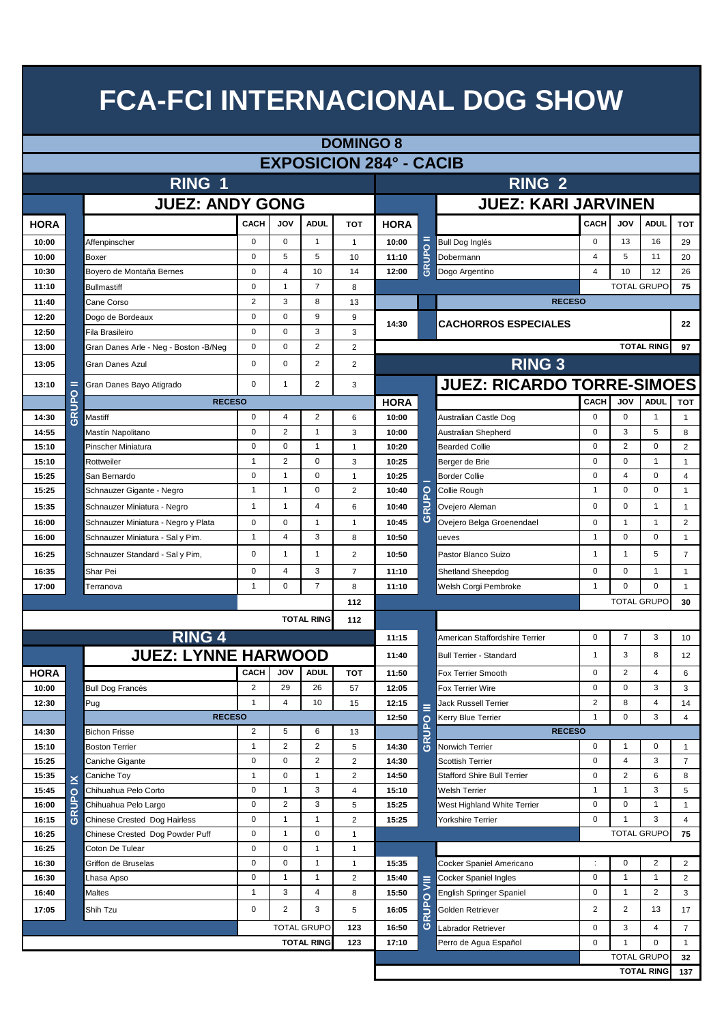|                | <b>DOMINGO 8</b> |                                                    |                         |                |                    |                              |                                |                |                                    |                          |                     |                         |                |  |  |  |  |
|----------------|------------------|----------------------------------------------------|-------------------------|----------------|--------------------|------------------------------|--------------------------------|----------------|------------------------------------|--------------------------|---------------------|-------------------------|----------------|--|--|--|--|
|                |                  |                                                    |                         |                |                    |                              | <b>EXPOSICION 284° - CACIB</b> |                |                                    |                          |                     |                         |                |  |  |  |  |
|                |                  | RING 1                                             |                         |                |                    |                              |                                |                | <b>RING 2</b>                      |                          |                     |                         |                |  |  |  |  |
|                |                  |                                                    |                         |                |                    |                              |                                |                |                                    |                          |                     |                         |                |  |  |  |  |
|                |                  | <b>JUEZ: ANDY GONG</b>                             |                         |                |                    |                              |                                |                | <b>JUEZ: KARI JARVINEN</b>         |                          |                     |                         |                |  |  |  |  |
| <b>HORA</b>    |                  |                                                    | <b>CACH</b>             | <b>JOV</b>     | <b>ADUL</b>        | <b>TOT</b>                   | <b>HORA</b>                    |                |                                    | <b>CACH</b>              | <b>JOV</b>          | <b>ADUL</b>             | <b>TOT</b>     |  |  |  |  |
| 10:00          |                  | Affenpinscher                                      | 0                       | $\mathbf 0$    | $\mathbf{1}$       | $\mathbf{1}$                 | 10:00                          |                | <b>Bull Dog Inglés</b>             | 0                        | 13                  | 16                      | 29             |  |  |  |  |
| 10:00          |                  | Boxer                                              | 0                       | 5              | 5                  | 10                           | 11:10                          | $\overline{6}$ | Dobermann                          | 4                        | 5                   | 11                      | 20             |  |  |  |  |
| 10:30          |                  | Boyero de Montaña Bernes                           | 0                       | 4              | 10                 | 14                           | 12:00                          | <b>GRU</b>     | Dogo Argentino                     | $\overline{4}$           | 10                  | 12                      | 26             |  |  |  |  |
| 11:10          |                  | <b>Bullmastiff</b>                                 | $\mathbf 0$             | 1              | $\overline{7}$     | 8                            |                                |                |                                    | <b>TOTAL GRUPO</b><br>75 |                     |                         |                |  |  |  |  |
| 11:40          |                  | Cane Corso                                         | $\overline{c}$          | 3              | 8                  | 13                           |                                |                | <b>RECESO</b>                      |                          |                     |                         |                |  |  |  |  |
| 12:20          |                  | Dogo de Bordeaux                                   | $\mathbf 0$             | $\mathbf 0$    | 9                  | 9                            | 14:30                          |                | <b>CACHORROS ESPECIALES</b>        |                          |                     |                         | 22             |  |  |  |  |
| 12:50          |                  | Fila Brasileiro                                    | 0                       | $\mathbf 0$    | 3                  | 3                            |                                |                |                                    |                          |                     |                         |                |  |  |  |  |
| 13:00          |                  | Gran Danes Arle - Neg - Boston - B/Neg             | $\mathbf 0$             | $\mathbf 0$    | 2                  | 2                            |                                |                |                                    |                          |                     | <b>TOTAL RING</b>       | 97             |  |  |  |  |
| 13:05          |                  | Gran Danes Azul                                    | 0                       | $\mathbf 0$    | 2                  | 2                            |                                |                | <b>RING 3</b>                      |                          |                     |                         |                |  |  |  |  |
| 13:10          | =                | Gran Danes Bayo Atigrado                           | 0                       | $\mathbf{1}$   | 2                  | 3                            |                                |                | <b>JUEZ: RICARDO TORRE-SIMOES</b>  |                          |                     |                         |                |  |  |  |  |
|                | GRUPO            | <b>RECESO</b>                                      |                         |                |                    |                              | <b>HORA</b>                    |                |                                    | <b>CACH</b>              | JOV                 | <b>ADUL</b>             | <b>TOT</b>     |  |  |  |  |
| 14:30          |                  | Mastiff                                            | 0                       | 4              | 2                  | 6                            | 10:00                          |                | Australian Castle Dog              | $\mathbf 0$              | $\mathbf 0$         | $\mathbf{1}$            | $\mathbf{1}$   |  |  |  |  |
| 14:55          |                  | Mastín Napolitano                                  | $\mathbf 0$             | 2              | $\mathbf{1}$       | 3                            | 10:00                          |                | Australian Shepherd                | 0                        | 3                   | 5                       | 8              |  |  |  |  |
| 15:10          |                  | Pinscher Miniatura                                 | $\mathbf 0$             | $\mathbf 0$    | $\mathbf{1}$       | $\mathbf{1}$                 | 10:20                          |                | <b>Bearded Collie</b>              | $\mathbf 0$              | $\overline{2}$      | $\mathbf 0$             | $\overline{2}$ |  |  |  |  |
| 15:10          |                  | Rottweiler                                         | $\mathbf{1}$            | 2              | 0                  | 3                            | 10:25                          |                | Berger de Brie                     | 0                        | 0                   | 1                       | $\mathbf{1}$   |  |  |  |  |
| 15:25          |                  | San Bernardo                                       | $\mathbf 0$             | $\mathbf{1}$   | $\mathbf 0$        | $\mathbf{1}$                 | 10:25                          |                | <b>Border Collie</b>               | $\mathbf 0$              | 4                   | $\mathbf 0$             | $\overline{4}$ |  |  |  |  |
| 15:25          |                  | Schnauzer Gigante - Negro                          | $\mathbf{1}$            | $\mathbf{1}$   | $\mathbf 0$        | $\overline{2}$               | 10:40                          | $\circ$<br>Δ   | Collie Rough                       | 1                        | $\mathbf 0$         | 0                       | $\mathbf{1}$   |  |  |  |  |
| 15:35          |                  | Schnauzer Miniatura - Negro                        | $\mathbf{1}$            | $\mathbf{1}$   | 4                  | 6                            | 10:40                          | RU<br>ပ        | Ovejero Aleman                     | 0                        | $\mathbf 0$         | $\mathbf{1}$            | $\mathbf{1}$   |  |  |  |  |
| 16:00          |                  | Schnauzer Miniatura - Negro y Plata                | $\mathbf 0$             | $\mathbf 0$    | $\mathbf{1}$       | $\mathbf{1}$                 | 10:45                          |                | Ovejero Belga Groenendael          | $\mathbf 0$              | $\overline{1}$      | $\mathbf{1}$            | 2              |  |  |  |  |
| 16:00          |                  | Schnauzer Miniatura - Sal y Pim.                   | $\mathbf{1}$            | 4              | 3                  | 8                            | 10:50                          |                | ueves                              | $\mathbf{1}$             | 0                   | 0                       | $\mathbf{1}$   |  |  |  |  |
| 16:25          |                  | Schnauzer Standard - Sal y Pim,                    | 0                       | $\mathbf{1}$   | $\mathbf{1}$       | 2                            | 10:50                          |                | Pastor Blanco Suizo                | $\mathbf{1}$             | $\overline{1}$      | 5                       | $\overline{7}$ |  |  |  |  |
| 16:35          |                  | Shar Pei                                           | 0                       | 4              | 3                  | $\overline{7}$               | 11:10                          |                | Shetland Sheepdog                  | $\mathbf 0$              | 0                   | $\mathbf{1}$            | $\mathbf{1}$   |  |  |  |  |
| 17:00          |                  | Terranova                                          | $\mathbf{1}$            | $\mathbf 0$    | $\overline{7}$     | 8                            | 11:10                          |                | Welsh Corgi Pembroke               | $\mathbf{1}$             | $\Omega$            | $\mathbf 0$             | $\mathbf{1}$   |  |  |  |  |
|                |                  |                                                    |                         |                |                    | 112                          |                                |                |                                    |                          |                     | <b>TOTAL GRUPO</b>      | 30             |  |  |  |  |
|                |                  |                                                    |                         |                | <b>TOTAL RING</b>  | 112                          |                                |                |                                    |                          |                     |                         |                |  |  |  |  |
|                |                  | <b>RING 4</b>                                      |                         |                |                    |                              | 11:15                          |                | American Staffordshire Terrier     | $\mathbf 0$              | $\overline{7}$      | 3                       | 10             |  |  |  |  |
|                |                  | <b>JUEZ: LYNNE HARWOOD</b>                         |                         |                |                    |                              | 11:40                          |                | <b>Bull Terrier - Standard</b>     | $\mathbf{1}$             | 3                   | 8                       | 12             |  |  |  |  |
| <b>HORA</b>    |                  |                                                    | <b>CACH</b>             | JOV            | <b>ADUL</b>        | <b>TOT</b>                   | 11:50                          |                | Fox Terrier Smooth                 | 0                        | $\overline{2}$      | $\overline{4}$          | 6              |  |  |  |  |
| 10:00          |                  | <b>Bull Dog Francés</b>                            | $\overline{\mathbf{c}}$ | 29             | 26                 | 57                           | 12:05                          |                | Fox Terrier Wire                   | 0                        | 0                   | 3                       | 3              |  |  |  |  |
| 12:30          |                  | Pug                                                | $\mathbf{1}$            | 4              | 10                 | 15                           | 12:15                          | Ξ              | Jack Russell Terrier               | $\overline{2}$           | 8                   | 4                       | 14             |  |  |  |  |
|                |                  | <b>RECESO</b>                                      |                         |                |                    |                              | 12:50                          |                | Kerry Blue Terrier                 | $\mathbf{1}$             | 0                   | 3                       | $\overline{4}$ |  |  |  |  |
| 14:30          |                  | <b>Bichon Frisse</b>                               | $\overline{2}$          | 5              | 6                  | 13                           |                                | GRUPO          | <b>RECESO</b>                      |                          |                     |                         |                |  |  |  |  |
| 15:10          |                  | <b>Boston Terrier</b>                              | $\mathbf{1}$            | $\overline{2}$ | 2                  | 5                            | 14:30                          |                | Norwich Terrier                    | 0                        | $\overline{1}$      | 0                       | $\mathbf{1}$   |  |  |  |  |
| 15:25          |                  | Caniche Gigante                                    | 0                       | 0              | $\overline{c}$     | $\overline{2}$               | 14:30                          |                | Scottish Terrier                   | 0                        | 4                   | 3                       | $\overline{7}$ |  |  |  |  |
| 15:35          | ×                | Caniche Toy                                        | $\mathbf{1}$            | 0              | 1                  | $\overline{2}$               | 14:50                          |                | <b>Stafford Shire Bull Terrier</b> | 0                        | $\overline{2}$      | 6                       | 8              |  |  |  |  |
| 15:45          |                  | Chihuahua Pelo Corto                               | 0                       | 1              | 3                  | 4                            | 15:10                          |                | Welsh Terrier                      | $\mathbf{1}$             | $\overline{1}$      | 3                       | 5              |  |  |  |  |
| 16:00          | GRUPO            | Chihuahua Pelo Largo                               | 0<br>0                  | $\overline{2}$ | 3                  | 5                            | 15:25                          |                | West Highland White Terrier        | 0<br>$\mathbf 0$         | 0<br>$\overline{1}$ | $\mathbf{1}$<br>3       | $\mathbf{1}$   |  |  |  |  |
| 16:15          |                  | Chinese Crested Dog Hairless                       | 0                       | 1<br>1         | 1<br>0             | $\overline{2}$               | 15:25                          |                | Yorkshire Terrier                  |                          |                     | <b>TOTAL GRUPO</b>      | 4<br>75        |  |  |  |  |
| 16:25<br>16:25 |                  | Chinese Crested Dog Powder Puff<br>Coton De Tulear | 0                       | 0              | 1                  | $\mathbf{1}$<br>$\mathbf{1}$ |                                |                |                                    |                          |                     |                         |                |  |  |  |  |
| 16:30          |                  | Griffon de Bruselas                                | 0                       | 0              | 1                  | $\mathbf{1}$                 | 15:35                          |                | Cocker Spaniel Americano           | ÷                        | 0                   | $\overline{\mathbf{c}}$ | $\overline{2}$ |  |  |  |  |
| 16:30          |                  | Lhasa Apso                                         | 0                       | 1              | 1                  | $\overline{2}$               | 15:40                          |                | Cocker Spaniel Ingles              | 0                        | $\overline{1}$      | $\mathbf{1}$            | 2              |  |  |  |  |
| 16:40          |                  | Maltes                                             | $\mathbf{1}$            | 3              | 4                  | 8                            | 15:50                          | 貝              | English Springer Spaniel           | 0                        | $\overline{1}$      | 2                       | 3              |  |  |  |  |
| 17:05          |                  | Shih Tzu                                           | 0                       | $\overline{2}$ | 3                  | 5                            | 16:05                          | $\circ$        | Golden Retriever                   | $\overline{\mathbf{c}}$  | $\overline{c}$      | 13                      | 17             |  |  |  |  |
|                |                  |                                                    |                         |                | <b>TOTAL GRUPO</b> | 123                          | 16:50                          | GRUP           | Labrador Retriever                 | 0                        | 3                   | 4                       | $\overline{7}$ |  |  |  |  |
|                |                  |                                                    |                         |                | <b>TOTAL RING</b>  | 123                          | 17:10                          |                | Perro de Agua Español              | $\mathbf 0$              | $\mathbf{1}$        | 0                       | $\mathbf 1$    |  |  |  |  |
|                |                  |                                                    |                         |                |                    |                              |                                |                |                                    |                          |                     | <b>TOTAL GRUPO</b>      | 32             |  |  |  |  |
|                |                  |                                                    |                         |                |                    |                              |                                |                |                                    |                          |                     | <b>TOTAL RING</b>       | 137            |  |  |  |  |
|                |                  |                                                    |                         |                |                    |                              |                                |                |                                    |                          |                     |                         |                |  |  |  |  |